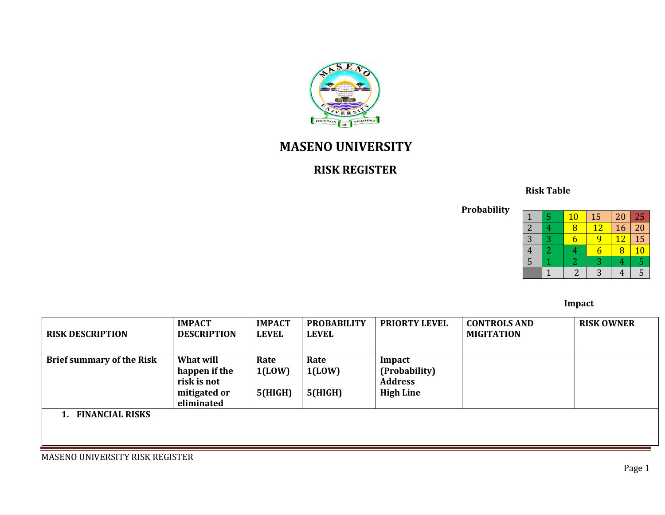

# **MASENO UNIVERSITY**

## **RISK REGISTER**

## **Risk Table**

**Probability**

|   |   | $\overline{10}$ | 15 | 20 | 25 |
|---|---|-----------------|----|----|----|
|   |   |                 | 12 | 16 | 20 |
| 3 | 2 |                 |    | 12 | 15 |
| t |   |                 |    | Я  | 10 |
| 5 |   |                 | З  |    |    |
|   |   |                 |    |    |    |

#### *Impact*

| <b>RISK DESCRIPTION</b>          | <b>IMPACT</b><br><b>DESCRIPTION</b>                                     | <b>IMPACT</b><br><b>LEVEL</b> | <b>PROBABILITY</b><br><b>LEVEL</b> | <b>PRIORTY LEVEL</b>                                          | <b>CONTROLS AND</b><br><b>MIGITATION</b> | <b>RISK OWNER</b> |
|----------------------------------|-------------------------------------------------------------------------|-------------------------------|------------------------------------|---------------------------------------------------------------|------------------------------------------|-------------------|
| <b>Brief summary of the Risk</b> | What will<br>happen if the<br>risk is not<br>mitigated or<br>eliminated | Rate<br>1(LOW)<br>5(HIGH)     | Rate<br>1(LOW)<br>5(HIGH)          | Impact<br>(Probability)<br><b>Address</b><br><b>High Line</b> |                                          |                   |
| . FINANCIAL RISKS                |                                                                         |                               |                                    |                                                               |                                          |                   |

MASENO UNIVERSITY RISK REGISTER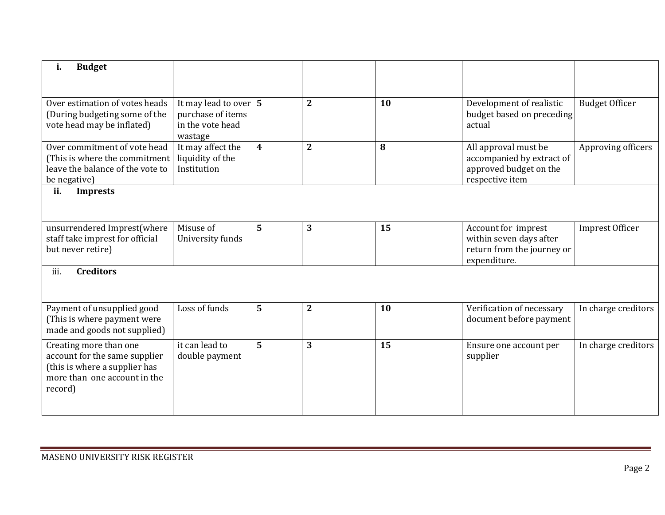| i.<br><b>Budget</b>                                                                                                                 |                                                                             |                  |                |    |                                                                                                |                        |
|-------------------------------------------------------------------------------------------------------------------------------------|-----------------------------------------------------------------------------|------------------|----------------|----|------------------------------------------------------------------------------------------------|------------------------|
|                                                                                                                                     |                                                                             |                  |                |    |                                                                                                |                        |
| Over estimation of votes heads<br>(During budgeting some of the<br>vote head may be inflated)                                       | It may lead to over $5$<br>purchase of items<br>in the vote head<br>wastage |                  | $\overline{2}$ | 10 | Development of realistic<br>budget based on preceding<br>actual                                | <b>Budget Officer</b>  |
| Over commitment of vote head<br>(This is where the commitment<br>leave the balance of the vote to<br>be negative)                   | It may affect the<br>liquidity of the<br>Institution                        | $\boldsymbol{4}$ | $\overline{2}$ | 8  | All approval must be<br>accompanied by extract of<br>approved budget on the<br>respective item | Approving officers     |
| ii.<br><b>Imprests</b>                                                                                                              |                                                                             |                  |                |    |                                                                                                |                        |
|                                                                                                                                     |                                                                             |                  |                |    |                                                                                                |                        |
| unsurrendered Imprest(where<br>staff take imprest for official<br>but never retire)                                                 | Misuse of<br>University funds                                               | $5\phantom{1}$   | 3              | 15 | Account for imprest<br>within seven days after<br>return from the journey or<br>expenditure.   | <b>Imprest Officer</b> |
| iii.<br><b>Creditors</b>                                                                                                            |                                                                             |                  |                |    |                                                                                                |                        |
| Payment of unsupplied good<br>(This is where payment were<br>made and goods not supplied)                                           | Loss of funds                                                               | $5\phantom{1}$   | $\overline{2}$ | 10 | Verification of necessary<br>document before payment                                           | In charge creditors    |
| Creating more than one<br>account for the same supplier<br>(this is where a supplier has<br>more than one account in the<br>record) | it can lead to<br>double payment                                            | 5                | 3              | 15 | Ensure one account per<br>supplier                                                             | In charge creditors    |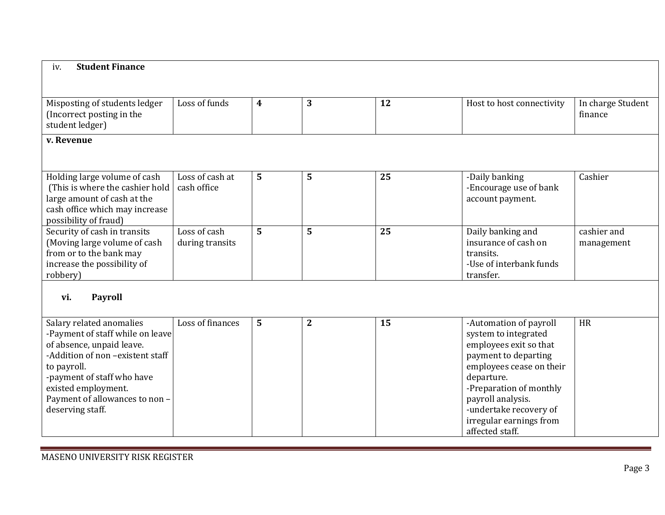| <b>Student Finance</b><br>iv.                                                                                                                                                                                                                           |                                 |                  |              |    |                                                                                                                                                                                                                                                                    |                              |
|---------------------------------------------------------------------------------------------------------------------------------------------------------------------------------------------------------------------------------------------------------|---------------------------------|------------------|--------------|----|--------------------------------------------------------------------------------------------------------------------------------------------------------------------------------------------------------------------------------------------------------------------|------------------------------|
|                                                                                                                                                                                                                                                         |                                 |                  |              |    |                                                                                                                                                                                                                                                                    |                              |
| Misposting of students ledger<br>(Incorrect posting in the<br>student ledger)                                                                                                                                                                           | Loss of funds                   | $\boldsymbol{4}$ | 3            | 12 | Host to host connectivity                                                                                                                                                                                                                                          | In charge Student<br>finance |
| v. Revenue                                                                                                                                                                                                                                              |                                 |                  |              |    |                                                                                                                                                                                                                                                                    |                              |
| Holding large volume of cash<br>(This is where the cashier hold<br>large amount of cash at the<br>cash office which may increase<br>possibility of fraud)                                                                                               | Loss of cash at<br>cash office  | 5                | 5            | 25 | -Daily banking<br>-Encourage use of bank<br>account payment.                                                                                                                                                                                                       | Cashier                      |
| Security of cash in transits<br>(Moving large volume of cash<br>from or to the bank may<br>increase the possibility of<br>robbery)                                                                                                                      | Loss of cash<br>during transits | 5                | 5            | 25 | Daily banking and<br>insurance of cash on<br>transits.<br>-Use of interbank funds<br>transfer.                                                                                                                                                                     | cashier and<br>management    |
| <b>Payroll</b><br>vi.                                                                                                                                                                                                                                   |                                 |                  |              |    |                                                                                                                                                                                                                                                                    |                              |
| Salary related anomalies<br>-Payment of staff while on leave<br>of absence, unpaid leave.<br>-Addition of non -existent staff<br>to payroll.<br>-payment of staff who have<br>existed employment.<br>Payment of allowances to non -<br>deserving staff. | Loss of finances                | 5                | $\mathbf{2}$ | 15 | -Automation of payroll<br>system to integrated<br>employees exit so that<br>payment to departing<br>employees cease on their<br>departure.<br>-Preparation of monthly<br>payroll analysis.<br>-undertake recovery of<br>irregular earnings from<br>affected staff. | <b>HR</b>                    |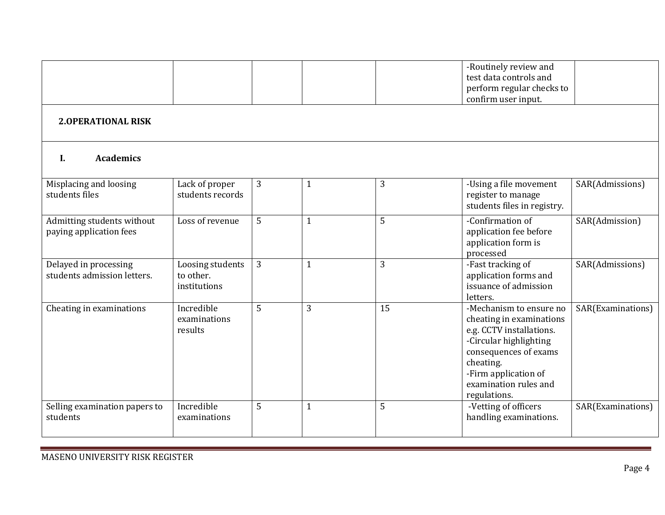|                                                       |                                               |   |              |                | -Routinely review and<br>test data controls and<br>perform regular checks to<br>confirm user input.                                                                                                              |                   |  |  |  |
|-------------------------------------------------------|-----------------------------------------------|---|--------------|----------------|------------------------------------------------------------------------------------------------------------------------------------------------------------------------------------------------------------------|-------------------|--|--|--|
| <b>2.OPERATIONAL RISK</b>                             |                                               |   |              |                |                                                                                                                                                                                                                  |                   |  |  |  |
| <b>Academics</b><br>I.                                |                                               |   |              |                |                                                                                                                                                                                                                  |                   |  |  |  |
| Misplacing and loosing<br>students files              | Lack of proper<br>students records            | 3 | $\mathbf{1}$ | 3              | -Using a file movement<br>register to manage<br>students files in registry.                                                                                                                                      | SAR(Admissions)   |  |  |  |
| Admitting students without<br>paying application fees | Loss of revenue                               | 5 | $\mathbf{1}$ | 5              | -Confirmation of<br>application fee before<br>application form is<br>processed                                                                                                                                   | SAR(Admission)    |  |  |  |
| Delayed in processing<br>students admission letters.  | Loosing students<br>to other.<br>institutions | 3 | $\mathbf{1}$ | $\overline{3}$ | -Fast tracking of<br>application forms and<br>issuance of admission<br>letters.                                                                                                                                  | SAR(Admissions)   |  |  |  |
| Cheating in examinations                              | Incredible<br>examinations<br>results         | 5 | 3            | 15             | -Mechanism to ensure no<br>cheating in examinations<br>e.g. CCTV installations.<br>-Circular highlighting<br>consequences of exams<br>cheating.<br>-Firm application of<br>examination rules and<br>regulations. | SAR(Examinations) |  |  |  |
| Selling examination papers to<br>students             | Incredible<br>examinations                    | 5 | $\mathbf{1}$ | 5              | -Vetting of officers<br>handling examinations.                                                                                                                                                                   | SAR(Examinations) |  |  |  |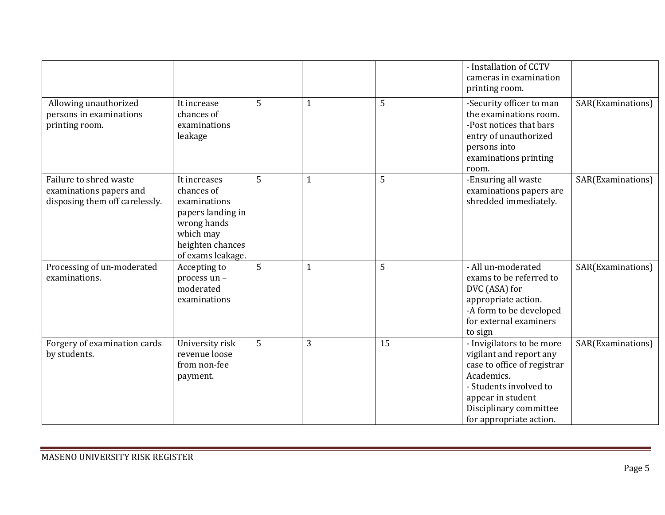|                                                                                     |                                                                                                                                      |   |              |                 | - Installation of CCTV<br>cameras in examination<br>printing room.                                                                                                                                    |                   |
|-------------------------------------------------------------------------------------|--------------------------------------------------------------------------------------------------------------------------------------|---|--------------|-----------------|-------------------------------------------------------------------------------------------------------------------------------------------------------------------------------------------------------|-------------------|
| Allowing unauthorized<br>persons in examinations<br>printing room.                  | It increase<br>chances of<br>examinations<br>leakage                                                                                 | 5 | $\mathbf{1}$ | 5               | -Security officer to man<br>the examinations room.<br>-Post notices that bars<br>entry of unauthorized<br>persons into<br>examinations printing<br>room.                                              | SAR(Examinations) |
| Failure to shred waste<br>examinations papers and<br>disposing them off carelessly. | It increases<br>chances of<br>examinations<br>papers landing in<br>wrong hands<br>which may<br>heighten chances<br>of exams leakage. | 5 | $\mathbf{1}$ | 5               | -Ensuring all waste<br>examinations papers are<br>shredded immediately.                                                                                                                               | SAR(Examinations) |
| Processing of un-moderated<br>examinations.                                         | Accepting to<br>process un -<br>moderated<br>examinations                                                                            | 5 | $\mathbf{1}$ | 5               | - All un-moderated<br>exams to be referred to<br>DVC (ASA) for<br>appropriate action.<br>-A form to be developed<br>for external examiners<br>to sign                                                 | SAR(Examinations) |
| Forgery of examination cards<br>by students.                                        | University risk<br>revenue loose<br>from non-fee<br>payment.                                                                         | 5 | 3            | $\overline{15}$ | - Invigilators to be more<br>vigilant and report any<br>case to office of registrar<br>Academics.<br>- Students involved to<br>appear in student<br>Disciplinary committee<br>for appropriate action. | SAR(Examinations) |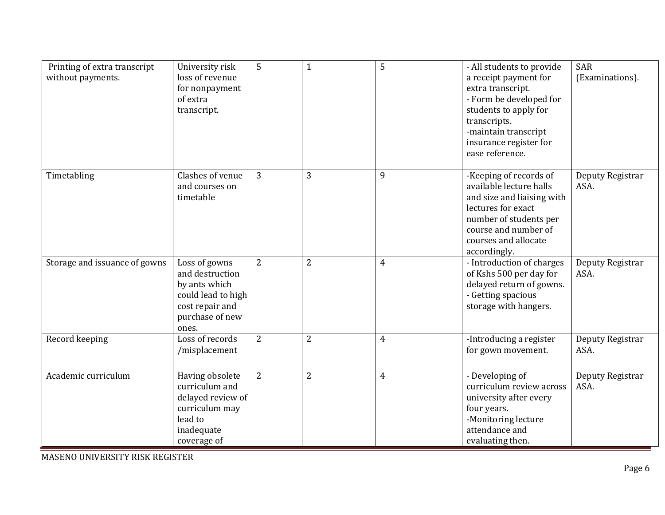| Printing of extra transcript<br>without payments. | University risk<br>loss of revenue<br>for nonpayment<br>of extra<br>transcript.                                        | 5              | $\overline{1}$ | 5              | - All students to provide<br>a receipt payment for<br>extra transcript.<br>- Form be developed for<br>students to apply for<br>transcripts.<br>-maintain transcript<br>insurance register for<br>ease reference. | <b>SAR</b><br>(Examinations). |
|---------------------------------------------------|------------------------------------------------------------------------------------------------------------------------|----------------|----------------|----------------|------------------------------------------------------------------------------------------------------------------------------------------------------------------------------------------------------------------|-------------------------------|
| Timetabling                                       | Clashes of venue<br>and courses on<br>timetable                                                                        | 3              | 3              | 9              | -Keeping of records of<br>available lecture halls<br>and size and liaising with<br>lectures for exact<br>number of students per<br>course and number of<br>courses and allocate<br>accordingly.                  | Deputy Registrar<br>ASA.      |
| Storage and issuance of gowns                     | Loss of gowns<br>and destruction<br>by ants which<br>could lead to high<br>cost repair and<br>purchase of new<br>ones. | $\overline{2}$ | $\overline{2}$ | $\overline{4}$ | - Introduction of charges<br>of Kshs 500 per day for<br>delayed return of gowns.<br>- Getting spacious<br>storage with hangers.                                                                                  | Deputy Registrar<br>ASA.      |
| Record keeping                                    | Loss of records<br>/misplacement                                                                                       | $\overline{2}$ | $\overline{2}$ | $\overline{4}$ | -Introducing a register<br>for gown movement.                                                                                                                                                                    | Deputy Registrar<br>ASA.      |
| Academic curriculum                               | Having obsolete<br>curriculum and<br>delayed review of<br>curriculum may<br>lead to<br>inadequate<br>coverage of       | $\overline{2}$ | $\overline{2}$ | $\overline{4}$ | - Developing of<br>curriculum review across<br>university after every<br>four years.<br>-Monitoring lecture<br>attendance and<br>evaluating then.                                                                | Deputy Registrar<br>ASA.      |

MASENO UNIVERSITY RISK REGISTER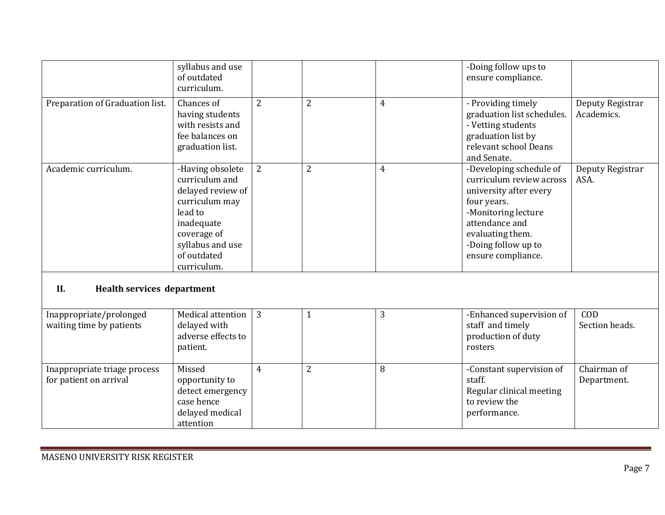|                                                        | syllabus and use<br>of outdated<br>curriculum.                                                                                                                      |                |                |                | -Doing follow ups to<br>ensure compliance.                                                                                                                                                             |                                |  |  |
|--------------------------------------------------------|---------------------------------------------------------------------------------------------------------------------------------------------------------------------|----------------|----------------|----------------|--------------------------------------------------------------------------------------------------------------------------------------------------------------------------------------------------------|--------------------------------|--|--|
| Preparation of Graduation list.                        | Chances of<br>having students<br>with resists and<br>fee balances on<br>graduation list.                                                                            | $\overline{2}$ | $\overline{2}$ | $\overline{4}$ | - Providing timely<br>graduation list schedules.<br>- Vetting students<br>graduation list by<br>relevant school Deans<br>and Senate.                                                                   | Deputy Registrar<br>Academics. |  |  |
| Academic curriculum.                                   | -Having obsolete<br>curriculum and<br>delayed review of<br>curriculum may<br>lead to<br>inadequate<br>coverage of<br>syllabus and use<br>of outdated<br>curriculum. | 2              | $\overline{2}$ | $\overline{4}$ | -Developing schedule of<br>curriculum review across<br>university after every<br>four years.<br>-Monitoring lecture<br>attendance and<br>evaluating them.<br>-Doing follow up to<br>ensure compliance. | Deputy Registrar<br>ASA.       |  |  |
| II.<br><b>Health services department</b>               |                                                                                                                                                                     |                |                |                |                                                                                                                                                                                                        |                                |  |  |
| Inappropriate/prolonged<br>waiting time by patients    | Medical attention<br>delayed with<br>adverse effects to<br>patient.                                                                                                 | $\overline{3}$ | $\mathbf{1}$   | 3              | -Enhanced supervision of<br>staff and timely<br>production of duty<br>rosters                                                                                                                          | COD<br>Section heads.          |  |  |
| Inappropriate triage process<br>for patient on arrival | Missed<br>opportunity to<br>detect emergency<br>case hence<br>delayed medical<br>attention                                                                          | $\overline{4}$ | $\overline{2}$ | 8              | -Constant supervision of<br>staff.<br>Regular clinical meeting<br>to review the<br>performance.                                                                                                        | Chairman of<br>Department.     |  |  |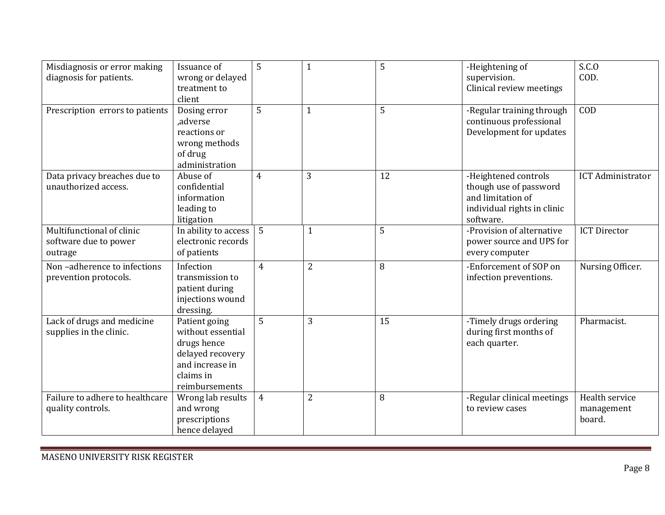| Misdiagnosis or error making<br>diagnosis for patients.       | Issuance of<br>wrong or delayed<br>treatment to<br>client                                                               | 5              | $\mathbf{1}$   | 5  | -Heightening of<br>supervision.<br>Clinical review meetings                                                     | S.C.0<br>COD.                          |
|---------------------------------------------------------------|-------------------------------------------------------------------------------------------------------------------------|----------------|----------------|----|-----------------------------------------------------------------------------------------------------------------|----------------------------------------|
| Prescription errors to patients                               | Dosing error<br>,adverse<br>reactions or<br>wrong methods<br>of drug<br>administration                                  | 5              | $\mathbf{1}$   | 5  | -Regular training through<br>continuous professional<br>Development for updates                                 | COD                                    |
| Data privacy breaches due to<br>unauthorized access.          | Abuse of<br>confidential<br>information<br>leading to<br>litigation                                                     | $\overline{4}$ | 3              | 12 | -Heightened controls<br>though use of password<br>and limitation of<br>individual rights in clinic<br>software. | <b>ICT Administrator</b>               |
| Multifunctional of clinic<br>software due to power<br>outrage | In ability to access<br>electronic records<br>of patients                                                               | 5              | $\mathbf{1}$   | 5  | -Provision of alternative<br>power source and UPS for<br>every computer                                         | <b>ICT Director</b>                    |
| Non-adherence to infections<br>prevention protocols.          | Infection<br>transmission to<br>patient during<br>injections wound<br>dressing.                                         | $\overline{4}$ | 2              | 8  | -Enforcement of SOP on<br>infection preventions.                                                                | Nursing Officer.                       |
| Lack of drugs and medicine<br>supplies in the clinic.         | Patient going<br>without essential<br>drugs hence<br>delayed recovery<br>and increase in<br>claims in<br>reimbursements | 5              | 3              | 15 | -Timely drugs ordering<br>during first months of<br>each quarter.                                               | Pharmacist.                            |
| Failure to adhere to healthcare<br>quality controls.          | Wrong lab results<br>and wrong<br>prescriptions<br>hence delayed                                                        | $\overline{4}$ | $\overline{2}$ | 8  | -Regular clinical meetings<br>to review cases                                                                   | Health service<br>management<br>board. |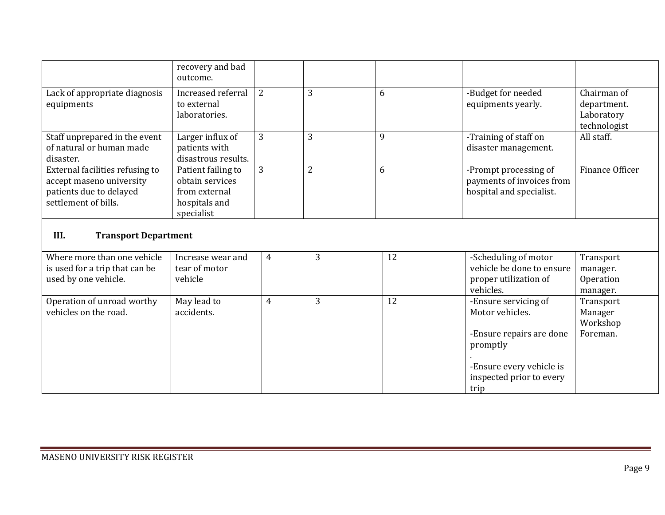|                                                                                                                | recovery and bad<br>outcome.                                                          |   |                |    |                                                                                                                                         |                                                          |  |  |
|----------------------------------------------------------------------------------------------------------------|---------------------------------------------------------------------------------------|---|----------------|----|-----------------------------------------------------------------------------------------------------------------------------------------|----------------------------------------------------------|--|--|
| Lack of appropriate diagnosis<br>equipments                                                                    | Increased referral<br>to external<br>laboratories.                                    | 2 | 3              | 6  | -Budget for needed<br>equipments yearly.                                                                                                | Chairman of<br>department.<br>Laboratory<br>technologist |  |  |
| Staff unprepared in the event<br>of natural or human made<br>disaster.                                         | Larger influx of<br>patients with<br>disastrous results.                              | 3 | 3              | 9  | -Training of staff on<br>disaster management.                                                                                           | All staff.                                               |  |  |
| External facilities refusing to<br>accept maseno university<br>patients due to delayed<br>settlement of bills. | Patient failing to<br>obtain services<br>from external<br>hospitals and<br>specialist | 3 | $\overline{2}$ | 6  | -Prompt processing of<br>payments of invoices from<br>hospital and specialist.                                                          | Finance Officer                                          |  |  |
| III.<br><b>Transport Department</b>                                                                            |                                                                                       |   |                |    |                                                                                                                                         |                                                          |  |  |
| Where more than one vehicle<br>is used for a trip that can be<br>used by one vehicle.                          | Increase wear and<br>tear of motor<br>vehicle                                         | 4 | 3              | 12 | -Scheduling of motor<br>vehicle be done to ensure<br>proper utilization of<br>vehicles.                                                 | Transport<br>manager.<br>Operation<br>manager.           |  |  |
| Operation of unroad worthy<br>vehicles on the road.                                                            | May lead to<br>accidents.                                                             | 4 | 3              | 12 | -Ensure servicing of<br>Motor vehicles.<br>-Ensure repairs are done<br>promptly<br>-Ensure every vehicle is<br>inspected prior to every | Transport<br>Manager<br>Workshop<br>Foreman.             |  |  |

trip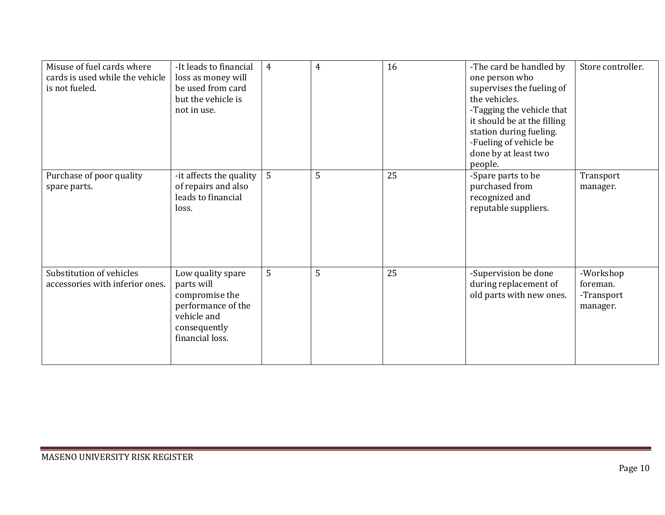| Misuse of fuel cards where<br>cards is used while the vehicle<br>is not fueled. | -It leads to financial<br>loss as money will<br>be used from card<br>but the vehicle is<br>not in use.                    | $\overline{4}$ | $\overline{4}$ | 16 | -The card be handled by<br>one person who<br>supervises the fueling of<br>the vehicles.<br>-Tagging the vehicle that<br>it should be at the filling<br>station during fueling.<br>-Fueling of vehicle be<br>done by at least two<br>people. | Store controller.                               |
|---------------------------------------------------------------------------------|---------------------------------------------------------------------------------------------------------------------------|----------------|----------------|----|---------------------------------------------------------------------------------------------------------------------------------------------------------------------------------------------------------------------------------------------|-------------------------------------------------|
| Purchase of poor quality<br>spare parts.                                        | -it affects the quality<br>of repairs and also<br>leads to financial<br>loss.                                             | 5              | 5              | 25 | -Spare parts to be<br>purchased from<br>recognized and<br>reputable suppliers.                                                                                                                                                              | Transport<br>manager.                           |
| Substitution of vehicles<br>accessories with inferior ones.                     | Low quality spare<br>parts will<br>compromise the<br>performance of the<br>vehicle and<br>consequently<br>financial loss. | 5              | 5              | 25 | -Supervision be done<br>during replacement of<br>old parts with new ones.                                                                                                                                                                   | -Workshop<br>foreman.<br>-Transport<br>manager. |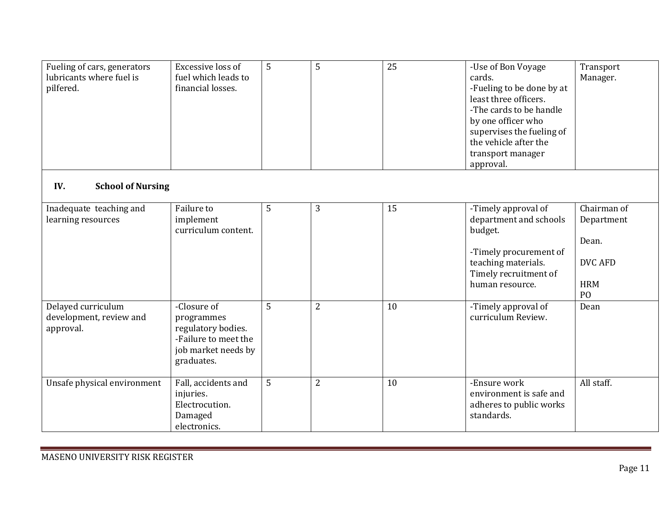| Fueling of cars, generators<br>lubricants where fuel is<br>pilfered. | Excessive loss of<br>fuel which leads to<br>financial losses.                                                | 5 | 5              | $\overline{25}$ | -Use of Bon Voyage<br>cards.<br>-Fueling to be done by at<br>least three officers.<br>-The cards to be handle<br>by one officer who<br>supervises the fueling of<br>the vehicle after the<br>transport manager<br>approval. | Transport<br>Manager.                                                                |
|----------------------------------------------------------------------|--------------------------------------------------------------------------------------------------------------|---|----------------|-----------------|-----------------------------------------------------------------------------------------------------------------------------------------------------------------------------------------------------------------------------|--------------------------------------------------------------------------------------|
| IV.<br><b>School of Nursing</b>                                      |                                                                                                              |   |                |                 |                                                                                                                                                                                                                             |                                                                                      |
| Inadequate teaching and<br>learning resources                        | Failure to<br>implement<br>curriculum content.                                                               | 5 | 3              | 15              | -Timely approval of<br>department and schools<br>budget.<br>-Timely procurement of<br>teaching materials.<br>Timely recruitment of<br>human resource.                                                                       | Chairman of<br>Department<br>Dean.<br><b>DVC AFD</b><br><b>HRM</b><br>P <sub>O</sub> |
| Delayed curriculum<br>development, review and<br>approval.           | -Closure of<br>programmes<br>regulatory bodies.<br>-Failure to meet the<br>job market needs by<br>graduates. | 5 | $\overline{2}$ | 10              | -Timely approval of<br>curriculum Review.                                                                                                                                                                                   | Dean                                                                                 |
| Unsafe physical environment                                          | Fall, accidents and<br>injuries.<br>Electrocution.<br>Damaged<br>electronics.                                | 5 | $\overline{2}$ | 10              | -Ensure work<br>environment is safe and<br>adheres to public works<br>standards.                                                                                                                                            | All staff.                                                                           |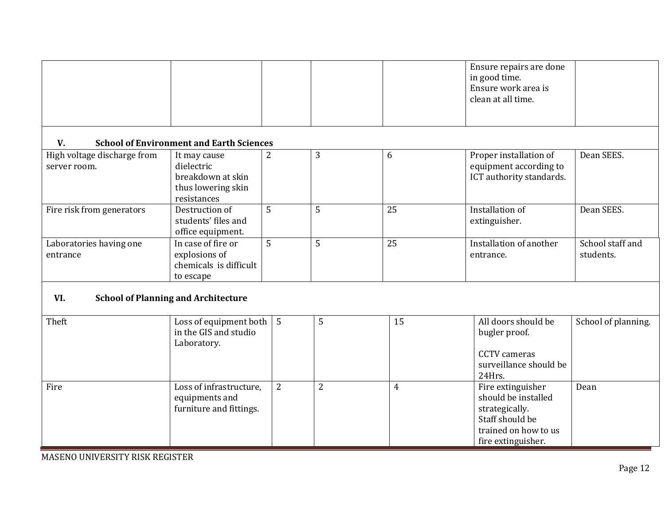|                                             |                                                                                      |                |                |                | Ensure repairs are done<br>in good time.<br>Ensure work area is<br>clean at all time.                                       |                               |
|---------------------------------------------|--------------------------------------------------------------------------------------|----------------|----------------|----------------|-----------------------------------------------------------------------------------------------------------------------------|-------------------------------|
| V.                                          | <b>School of Environment and Earth Sciences</b>                                      |                |                |                |                                                                                                                             |                               |
| High voltage discharge from<br>server room. | It may cause<br>dielectric<br>breakdown at skin<br>thus lowering skin<br>resistances | 2              | 3              | 6              | Proper installation of<br>equipment according to<br>ICT authority standards.                                                | Dean SEES.                    |
| Fire risk from generators                   | Destruction of<br>students' files and<br>office equipment.                           | 5              | 5              | 25             | Installation of<br>extinguisher.                                                                                            | Dean SEES.                    |
| Laboratories having one<br>entrance         | In case of fire or<br>explosions of<br>chemicals is difficult<br>to escape           | 5              | 5              | 25             | Installation of another<br>entrance.                                                                                        | School staff and<br>students. |
| VI.                                         | <b>School of Planning and Architecture</b>                                           |                |                |                |                                                                                                                             |                               |
| Theft                                       | Loss of equipment both<br>in the GIS and studio<br>Laboratory.                       | $5\phantom{.}$ | 5              | 15             | All doors should be<br>bugler proof.<br><b>CCTV</b> cameras<br>surveillance should be<br>24Hrs.                             | School of planning.           |
| Fire                                        | Loss of infrastructure,<br>equipments and<br>furniture and fittings.                 | $\overline{2}$ | $\overline{2}$ | $\overline{4}$ | Fire extinguisher<br>should be installed<br>strategically.<br>Staff should be<br>trained on how to us<br>fire extinguisher. | Dean                          |

MASENO UNIVERSITY RISK REGISTER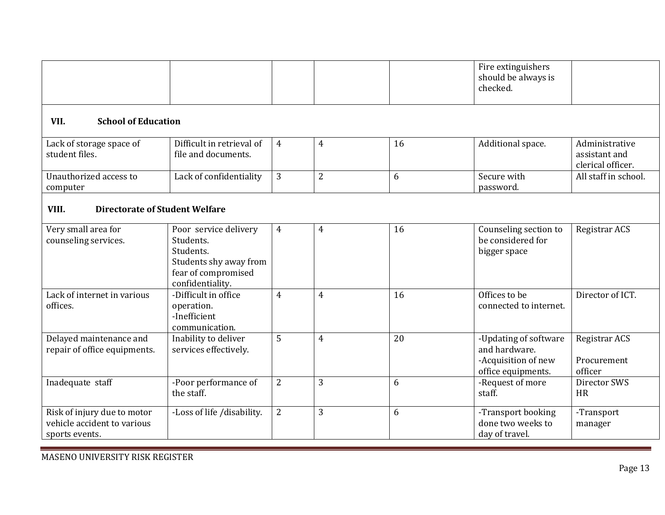|                                                                              |                                                                                                                      |                |                |    | Fire extinguishers<br>should be always is<br>checked.                               |                                                      |
|------------------------------------------------------------------------------|----------------------------------------------------------------------------------------------------------------------|----------------|----------------|----|-------------------------------------------------------------------------------------|------------------------------------------------------|
| VII.<br><b>School of Education</b>                                           |                                                                                                                      |                |                |    |                                                                                     |                                                      |
| Lack of storage space of<br>student files.                                   | Difficult in retrieval of<br>file and documents.                                                                     | $\overline{4}$ | $\overline{4}$ | 16 | Additional space.                                                                   | Administrative<br>assistant and<br>clerical officer. |
| Unauthorized access to<br>computer                                           | Lack of confidentiality                                                                                              | 3              | $\overline{2}$ | 6  | Secure with<br>password.                                                            | All staff in school.                                 |
| VIII.<br><b>Directorate of Student Welfare</b>                               |                                                                                                                      |                |                |    |                                                                                     |                                                      |
| Very small area for<br>counseling services.                                  | Poor service delivery<br>Students.<br>Students.<br>Students shy away from<br>fear of compromised<br>confidentiality. | $\overline{4}$ | $\overline{4}$ | 16 | Counseling section to<br>be considered for<br>bigger space                          | Registrar ACS                                        |
| Lack of internet in various<br>offices.                                      | -Difficult in office<br>operation.<br>-Inefficient<br>communication.                                                 | $\overline{4}$ | $\overline{4}$ | 16 | Offices to be<br>connected to internet.                                             | Director of ICT.                                     |
| Delayed maintenance and<br>repair of office equipments.                      | Inability to deliver<br>services effectively.                                                                        | 5              | $\overline{4}$ | 20 | -Updating of software<br>and hardware.<br>-Acquisition of new<br>office equipments. | Registrar ACS<br>Procurement<br>officer              |
| Inadequate staff                                                             | -Poor performance of<br>the staff.                                                                                   | $\mathbf{2}$   | 3              | 6  | -Request of more<br>staff.                                                          | Director SWS<br><b>HR</b>                            |
| Risk of injury due to motor<br>vehicle accident to various<br>sports events. | -Loss of life /disability.                                                                                           | $\overline{2}$ | 3              | 6  | -Transport booking<br>done two weeks to<br>day of travel.                           | -Transport<br>manager                                |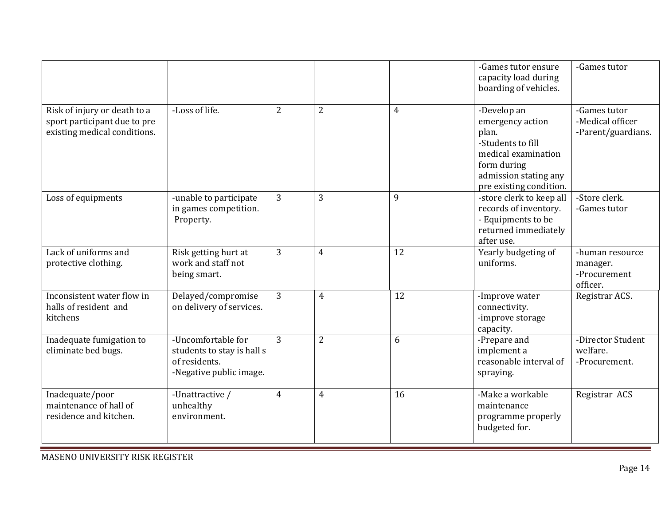|                                                                                              |                                                                                              |                |                |                | -Games tutor ensure<br>capacity load during<br>boarding of vehicles.                                                                                    | -Games tutor                                            |
|----------------------------------------------------------------------------------------------|----------------------------------------------------------------------------------------------|----------------|----------------|----------------|---------------------------------------------------------------------------------------------------------------------------------------------------------|---------------------------------------------------------|
| Risk of injury or death to a<br>sport participant due to pre<br>existing medical conditions. | -Loss of life.                                                                               | $\overline{2}$ | $\overline{2}$ | $\overline{4}$ | -Develop an<br>emergency action<br>plan.<br>-Students to fill<br>medical examination<br>form during<br>admission stating any<br>pre existing condition. | -Games tutor<br>-Medical officer<br>-Parent/guardians.  |
| Loss of equipments                                                                           | -unable to participate<br>in games competition.<br>Property.                                 | 3              | 3              | 9              | -store clerk to keep all<br>records of inventory.<br>- Equipments to be<br>returned immediately<br>after use.                                           | -Store clerk.<br>-Games tutor                           |
| Lack of uniforms and<br>protective clothing.                                                 | Risk getting hurt at<br>work and staff not<br>being smart.                                   | 3              | $\overline{4}$ | 12             | Yearly budgeting of<br>uniforms.                                                                                                                        | -human resource<br>manager.<br>-Procurement<br>officer. |
| Inconsistent water flow in<br>halls of resident and<br>kitchens                              | Delayed/compromise<br>on delivery of services.                                               | 3              | 4              | 12             | -Improve water<br>connectivity.<br>-improve storage<br>capacity.                                                                                        | Registrar ACS.                                          |
| Inadequate fumigation to<br>eliminate bed bugs.                                              | -Uncomfortable for<br>students to stay is hall s<br>of residents.<br>-Negative public image. | $\overline{3}$ | $\overline{2}$ | 6              | -Prepare and<br>implement a<br>reasonable interval of<br>spraying.                                                                                      | -Director Student<br>welfare.<br>-Procurement.          |
| Inadequate/poor<br>maintenance of hall of<br>residence and kitchen.                          | -Unattractive /<br>unhealthy<br>environment.                                                 | $\overline{4}$ | $\overline{4}$ | 16             | -Make a workable<br>maintenance<br>programme properly<br>budgeted for.                                                                                  | Registrar ACS                                           |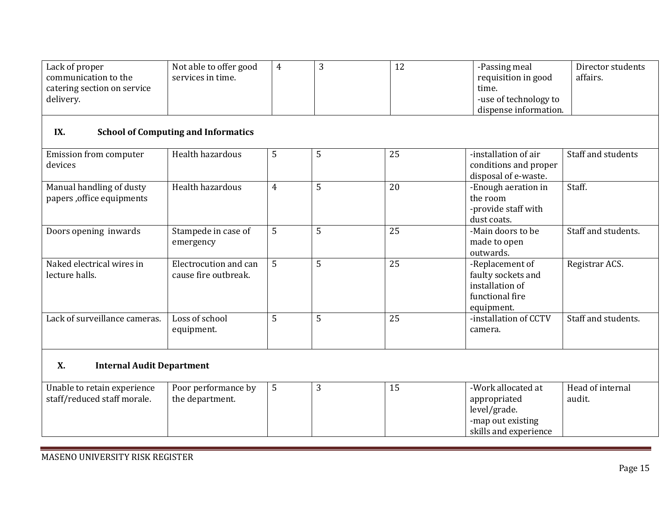| Lack of proper<br>communication to the<br>catering section on service<br>delivery. | Not able to offer good<br>services in time.   | $\overline{4}$ | 3 | 12 | -Passing meal<br>requisition in good<br>time.<br>-use of technology to<br>dispense information.  | Director students<br>affairs. |  |  |  |  |
|------------------------------------------------------------------------------------|-----------------------------------------------|----------------|---|----|--------------------------------------------------------------------------------------------------|-------------------------------|--|--|--|--|
| IX.<br><b>School of Computing and Informatics</b>                                  |                                               |                |   |    |                                                                                                  |                               |  |  |  |  |
| Emission from computer<br>devices                                                  | Health hazardous                              | 5              | 5 | 25 | -installation of air<br>conditions and proper<br>disposal of e-waste.                            | Staff and students            |  |  |  |  |
| Manual handling of dusty<br>papers, office equipments                              | Health hazardous                              | $\overline{4}$ | 5 | 20 | -Enough aeration in<br>the room<br>-provide staff with<br>dust coats.                            | Staff.                        |  |  |  |  |
| Doors opening inwards                                                              | Stampede in case of<br>emergency              | 5              | 5 | 25 | -Main doors to be<br>made to open<br>outwards.                                                   | Staff and students.           |  |  |  |  |
| Naked electrical wires in<br>lecture halls.                                        | Electrocution and can<br>cause fire outbreak. | 5              | 5 | 25 | -Replacement of<br>faulty sockets and<br>installation of<br>functional fire<br>equipment.        | Registrar ACS.                |  |  |  |  |
| Lack of surveillance cameras.                                                      | Loss of school<br>equipment.                  | 5              | 5 | 25 | -installation of CCTV<br>camera.                                                                 | Staff and students.           |  |  |  |  |
| <b>X.</b><br><b>Internal Audit Department</b>                                      |                                               |                |   |    |                                                                                                  |                               |  |  |  |  |
| Unable to retain experience<br>staff/reduced staff morale.                         | Poor performance by<br>the department.        | 5              | 3 | 15 | -Work allocated at<br>appropriated<br>level/grade.<br>-map out existing<br>skills and experience | Head of internal<br>audit.    |  |  |  |  |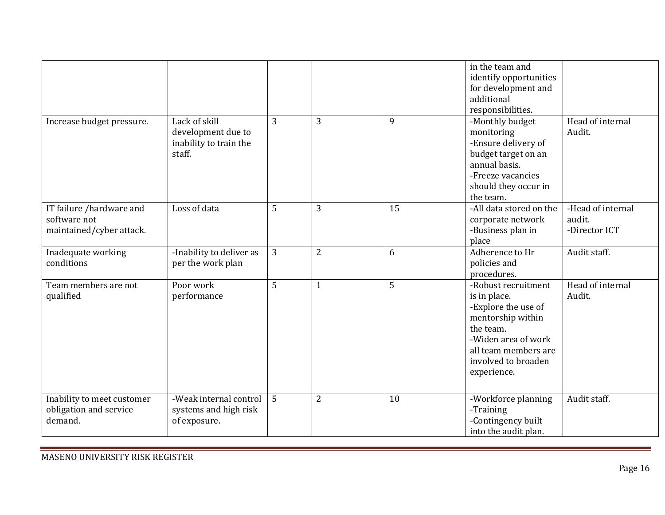|                            |                          |              |                |    | in the team and         |                   |
|----------------------------|--------------------------|--------------|----------------|----|-------------------------|-------------------|
|                            |                          |              |                |    | identify opportunities  |                   |
|                            |                          |              |                |    | for development and     |                   |
|                            |                          |              |                |    | additional              |                   |
|                            |                          |              |                |    | responsibilities.       |                   |
| Increase budget pressure.  | Lack of skill            | 3            | 3              | 9  | -Monthly budget         | Head of internal  |
|                            | development due to       |              |                |    | monitoring              | Audit.            |
|                            | inability to train the   |              |                |    | -Ensure delivery of     |                   |
|                            | staff.                   |              |                |    | budget target on an     |                   |
|                            |                          |              |                |    | annual basis.           |                   |
|                            |                          |              |                |    | -Freeze vacancies       |                   |
|                            |                          |              |                |    | should they occur in    |                   |
|                            |                          |              |                |    | the team.               |                   |
| IT failure /hardware and   | Loss of data             | 5            | 3              | 15 | -All data stored on the | -Head of internal |
| software not               |                          |              |                |    | corporate network       | audit.            |
| maintained/cyber attack.   |                          |              |                |    | -Business plan in       | -Director ICT     |
|                            |                          |              |                |    | place                   |                   |
| Inadequate working         | -Inability to deliver as | $\mathbf{3}$ | 2              | 6  | Adherence to Hr         | Audit staff.      |
| conditions                 | per the work plan        |              |                |    | policies and            |                   |
|                            |                          |              |                |    | procedures.             |                   |
| Team members are not       | Poor work                | 5            | $\mathbf{1}$   | 5  | -Robust recruitment     | Head of internal  |
| qualified                  | performance              |              |                |    | is in place.            | Audit.            |
|                            |                          |              |                |    | -Explore the use of     |                   |
|                            |                          |              |                |    | mentorship within       |                   |
|                            |                          |              |                |    | the team.               |                   |
|                            |                          |              |                |    | -Widen area of work     |                   |
|                            |                          |              |                |    | all team members are    |                   |
|                            |                          |              |                |    | involved to broaden     |                   |
|                            |                          |              |                |    | experience.             |                   |
|                            |                          |              |                |    |                         |                   |
|                            |                          |              |                |    |                         |                   |
| Inability to meet customer | -Weak internal control   | 5            | $\overline{2}$ | 10 | -Workforce planning     | Audit staff.      |
| obligation and service     | systems and high risk    |              |                |    | -Training               |                   |
| demand.                    | of exposure.             |              |                |    | -Contingency built      |                   |
|                            |                          |              |                |    | into the audit plan.    |                   |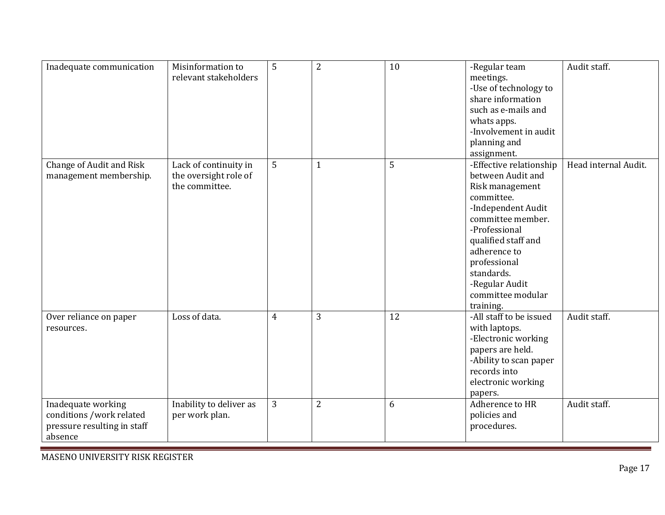| Inadequate communication        | Misinformation to       | 5 | $\overline{2}$ | 10 | -Regular team           | Audit staff.         |
|---------------------------------|-------------------------|---|----------------|----|-------------------------|----------------------|
|                                 | relevant stakeholders   |   |                |    | meetings.               |                      |
|                                 |                         |   |                |    | -Use of technology to   |                      |
|                                 |                         |   |                |    | share information       |                      |
|                                 |                         |   |                |    | such as e-mails and     |                      |
|                                 |                         |   |                |    | whats apps.             |                      |
|                                 |                         |   |                |    | -Involvement in audit   |                      |
|                                 |                         |   |                |    | planning and            |                      |
|                                 |                         |   |                |    | assignment.             |                      |
| <b>Change of Audit and Risk</b> | Lack of continuity in   | 5 | $\mathbf{1}$   | 5  | -Effective relationship | Head internal Audit. |
| management membership.          | the oversight role of   |   |                |    | between Audit and       |                      |
|                                 | the committee.          |   |                |    | Risk management         |                      |
|                                 |                         |   |                |    | committee.              |                      |
|                                 |                         |   |                |    | -Independent Audit      |                      |
|                                 |                         |   |                |    | committee member.       |                      |
|                                 |                         |   |                |    | -Professional           |                      |
|                                 |                         |   |                |    | qualified staff and     |                      |
|                                 |                         |   |                |    | adherence to            |                      |
|                                 |                         |   |                |    | professional            |                      |
|                                 |                         |   |                |    | standards.              |                      |
|                                 |                         |   |                |    | -Regular Audit          |                      |
|                                 |                         |   |                |    | committee modular       |                      |
|                                 |                         |   |                |    |                         |                      |
|                                 |                         |   |                |    | training.               |                      |
| Over reliance on paper          | Loss of data.           | 4 | 3              | 12 | -All staff to be issued | Audit staff.         |
| resources.                      |                         |   |                |    | with laptops.           |                      |
|                                 |                         |   |                |    | -Electronic working     |                      |
|                                 |                         |   |                |    | papers are held.        |                      |
|                                 |                         |   |                |    | -Ability to scan paper  |                      |
|                                 |                         |   |                |    | records into            |                      |
|                                 |                         |   |                |    | electronic working      |                      |
|                                 |                         |   |                |    | papers.                 |                      |
| Inadequate working              | Inability to deliver as | 3 | $\overline{2}$ | 6  | Adherence to HR         | Audit staff.         |
| conditions /work related        | per work plan.          |   |                |    | policies and            |                      |
| pressure resulting in staff     |                         |   |                |    | procedures.             |                      |
| absence                         |                         |   |                |    |                         |                      |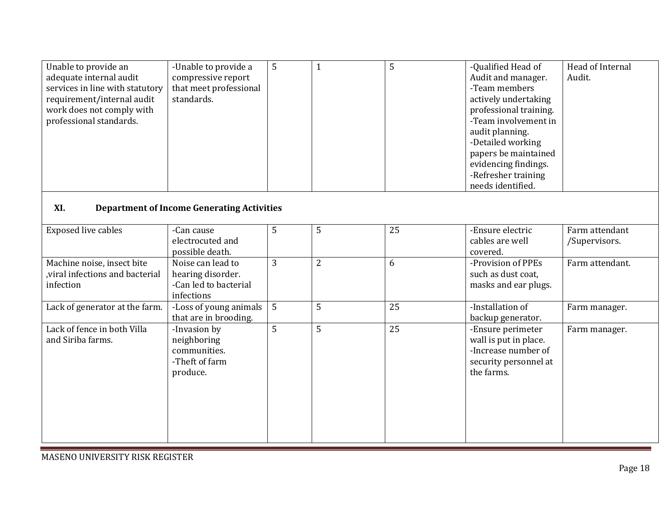| Unable to provide an<br>adequate internal audit<br>services in line with statutory<br>requirement/internal audit<br>work does not comply with<br>professional standards. | -Unable to provide a<br>compressive report<br>that meet professional<br>standards. | 5 | $\mathbf{1}$   | 5  | -Qualified Head of<br>Audit and manager.<br>-Team members<br>actively undertaking<br>professional training.<br>-Team involvement in<br>audit planning.<br>-Detailed working<br>papers be maintained<br>evidencing findings.<br>-Refresher training<br>needs identified. | Head of Internal<br>Audit.      |  |  |
|--------------------------------------------------------------------------------------------------------------------------------------------------------------------------|------------------------------------------------------------------------------------|---|----------------|----|-------------------------------------------------------------------------------------------------------------------------------------------------------------------------------------------------------------------------------------------------------------------------|---------------------------------|--|--|
| XI.<br><b>Department of Income Generating Activities</b>                                                                                                                 |                                                                                    |   |                |    |                                                                                                                                                                                                                                                                         |                                 |  |  |
| <b>Exposed live cables</b>                                                                                                                                               | -Can cause<br>electrocuted and<br>possible death.                                  | 5 | 5              | 25 | -Ensure electric<br>cables are well<br>covered.                                                                                                                                                                                                                         | Farm attendant<br>/Supervisors. |  |  |
| Machine noise, insect bite<br>viral infections and bacterial<br>infection                                                                                                | Noise can lead to<br>hearing disorder.<br>-Can led to bacterial<br>infections      | 3 | $\overline{2}$ | 6  | -Provision of PPEs<br>such as dust coat,<br>masks and ear plugs.                                                                                                                                                                                                        | Farm attendant.                 |  |  |
| Lack of generator at the farm.                                                                                                                                           | -Loss of young animals<br>that are in brooding.                                    | 5 | 5              | 25 | -Installation of<br>backup generator.                                                                                                                                                                                                                                   | Farm manager.                   |  |  |
| Lack of fence in both Villa<br>and Siriba farms.                                                                                                                         | -Invasion by<br>neighboring<br>communities.<br>-Theft of farm<br>produce.          | 5 | 5              | 25 | -Ensure perimeter<br>wall is put in place.<br>-Increase number of<br>security personnel at<br>the farms.                                                                                                                                                                | Farm manager.                   |  |  |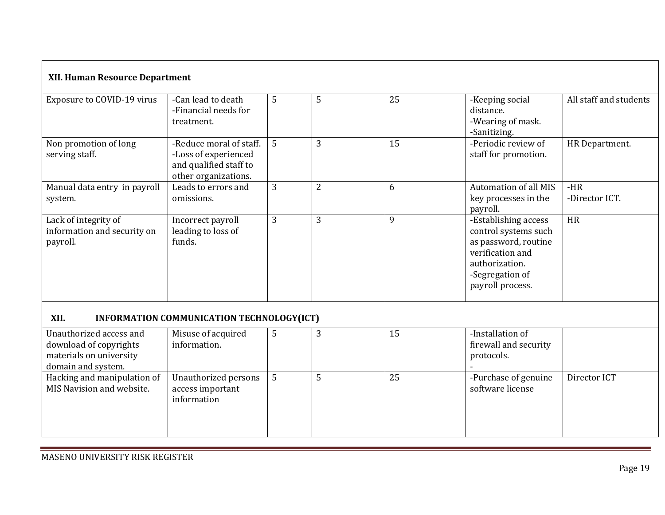| <b>XII. Human Resource Department</b>                                                              |                                                                                                   |   |   |    |                                                                                                                                                   |                         |  |  |
|----------------------------------------------------------------------------------------------------|---------------------------------------------------------------------------------------------------|---|---|----|---------------------------------------------------------------------------------------------------------------------------------------------------|-------------------------|--|--|
| Exposure to COVID-19 virus                                                                         | -Can lead to death<br>-Financial needs for<br>treatment.                                          | 5 | 5 | 25 | -Keeping social<br>distance.<br>-Wearing of mask.<br>-Sanitizing.                                                                                 | All staff and students  |  |  |
| Non promotion of long<br>serving staff.                                                            | -Reduce moral of staff.<br>-Loss of experienced<br>and qualified staff to<br>other organizations. | 5 | 3 | 15 | -Periodic review of<br>staff for promotion.                                                                                                       | HR Department.          |  |  |
| Manual data entry in payroll<br>system.                                                            | Leads to errors and<br>omissions.                                                                 | 3 | 2 | 6  | <b>Automation of all MIS</b><br>key processes in the<br>payroll.                                                                                  | $-HR$<br>-Director ICT. |  |  |
| Lack of integrity of<br>information and security on<br>payroll.                                    | Incorrect payroll<br>leading to loss of<br>funds.                                                 | 3 | 3 | 9  | -Establishing access<br>control systems such<br>as password, routine<br>verification and<br>authorization.<br>-Segregation of<br>payroll process. | <b>HR</b>               |  |  |
| XII.                                                                                               | INFORMATION COMMUNICATION TECHNOLOGY(ICT)                                                         |   |   |    |                                                                                                                                                   |                         |  |  |
| Unauthorized access and<br>download of copyrights<br>materials on university<br>domain and system. | Misuse of acquired<br>information.                                                                | 5 | 3 | 15 | -Installation of<br>firewall and security<br>protocols.                                                                                           |                         |  |  |
| Hacking and manipulation of<br>MIS Navision and website.                                           | Unauthorized persons<br>access important<br>information                                           | 5 | 5 | 25 | -Purchase of genuine<br>software license                                                                                                          | Director ICT            |  |  |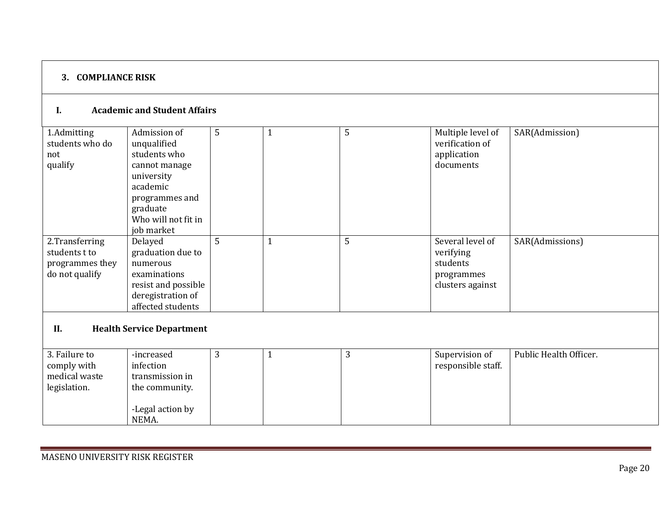## **3. COMPLIANCE RISK**

### **I. Academic and Student Affairs**

| 1.Admitting<br>students who do | Admission of<br>unqualified      | 5 | 5 | Multiple level of<br>verification of | SAR(Admission)         |
|--------------------------------|----------------------------------|---|---|--------------------------------------|------------------------|
|                                |                                  |   |   |                                      |                        |
| not                            | students who                     |   |   | application                          |                        |
| qualify                        | cannot manage                    |   |   | documents                            |                        |
|                                | university                       |   |   |                                      |                        |
|                                | academic                         |   |   |                                      |                        |
|                                | programmes and                   |   |   |                                      |                        |
|                                | graduate                         |   |   |                                      |                        |
|                                | Who will not fit in              |   |   |                                      |                        |
|                                | job market                       |   |   |                                      |                        |
| 2.Transferring                 | Delayed                          | 5 | 5 | Several level of                     | SAR(Admissions)        |
| students t to                  | graduation due to                |   |   | verifying                            |                        |
| programmes they                | numerous                         |   |   | students                             |                        |
| do not qualify                 | examinations                     |   |   | programmes                           |                        |
|                                | resist and possible              |   |   | clusters against                     |                        |
|                                | deregistration of                |   |   |                                      |                        |
|                                | affected students                |   |   |                                      |                        |
|                                |                                  |   |   |                                      |                        |
| II.                            | <b>Health Service Department</b> |   |   |                                      |                        |
|                                |                                  |   |   |                                      |                        |
| 3. Failure to                  | -increased                       | 3 | 3 | Supervision of                       | Public Health Officer. |

| 5. Fallul e to | -inci eased      | $\sim$ | . . | SUPERVISION OF     | PUDIIC HEARTH UILICEL. |
|----------------|------------------|--------|-----|--------------------|------------------------|
| comply with    | infection        |        |     | responsible staff. |                        |
| medical waste  | transmission in  |        |     |                    |                        |
| legislation.   | the community.   |        |     |                    |                        |
|                |                  |        |     |                    |                        |
|                | -Legal action by |        |     |                    |                        |
|                | NEMA.            |        |     |                    |                        |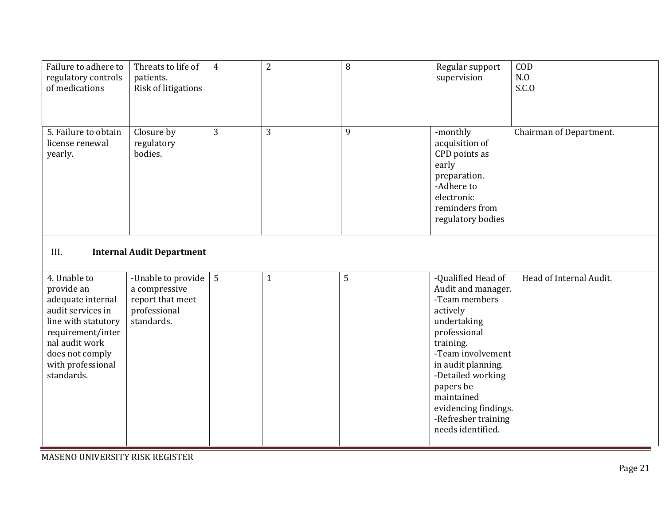| Failure to adhere to<br>regulatory controls<br>of medications                                                                                                                            | Threats to life of<br>patients.<br>Risk of litigations                                | $\overline{4}$ | $\overline{2}$ | 8 | Regular support<br>supervision                                                                                                                                                                                                                                                   | COD<br>N.0<br>S.C.0     |  |  |  |
|------------------------------------------------------------------------------------------------------------------------------------------------------------------------------------------|---------------------------------------------------------------------------------------|----------------|----------------|---|----------------------------------------------------------------------------------------------------------------------------------------------------------------------------------------------------------------------------------------------------------------------------------|-------------------------|--|--|--|
| 5. Failure to obtain<br>license renewal<br>yearly.                                                                                                                                       | Closure by<br>regulatory<br>bodies.                                                   | 3              | 3              | 9 | -monthly<br>acquisition of<br>CPD points as<br>early<br>preparation.<br>-Adhere to<br>electronic<br>reminders from<br>regulatory bodies                                                                                                                                          | Chairman of Department. |  |  |  |
| III.<br><b>Internal Audit Department</b>                                                                                                                                                 |                                                                                       |                |                |   |                                                                                                                                                                                                                                                                                  |                         |  |  |  |
| 4. Unable to<br>provide an<br>adequate internal<br>audit services in<br>line with statutory<br>requirement/inter<br>nal audit work<br>does not comply<br>with professional<br>standards. | -Unable to provide<br>a compressive<br>report that meet<br>professional<br>standards. | 5              | $\mathbf{1}$   | 5 | -Qualified Head of<br>Audit and manager.<br>-Team members<br>actively<br>undertaking<br>professional<br>training.<br>-Team involvement<br>in audit planning.<br>-Detailed working<br>papers be<br>maintained<br>evidencing findings.<br>-Refresher training<br>needs identified. | Head of Internal Audit. |  |  |  |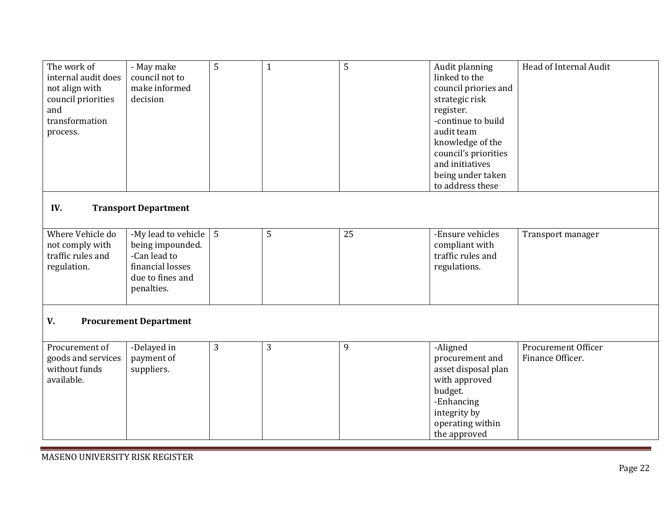| The work of<br>internal audit does<br>not align with<br>council priorities<br>and<br>transformation<br>process. | - May make<br>council not to<br>make informed<br>decision                                                     | 5 | $\mathbf{1}$ | 5  | Audit planning<br>linked to the<br>council priories and<br>strategic risk<br>register.<br>-continue to build<br>audit team<br>knowledge of the<br>council's priorities<br>and initiatives<br>being under taken<br>to address these | Head of Internal Audit                  |  |  |
|-----------------------------------------------------------------------------------------------------------------|---------------------------------------------------------------------------------------------------------------|---|--------------|----|------------------------------------------------------------------------------------------------------------------------------------------------------------------------------------------------------------------------------------|-----------------------------------------|--|--|
| IV.<br><b>Transport Department</b>                                                                              |                                                                                                               |   |              |    |                                                                                                                                                                                                                                    |                                         |  |  |
| Where Vehicle do<br>not comply with<br>traffic rules and<br>regulation.                                         | -My lead to vehicle<br>being impounded.<br>-Can lead to<br>financial losses<br>due to fines and<br>penalties. | 5 | 5            | 25 | -Ensure vehicles<br>compliant with<br>traffic rules and<br>regulations.                                                                                                                                                            | Transport manager                       |  |  |
| V.<br><b>Procurement Department</b>                                                                             |                                                                                                               |   |              |    |                                                                                                                                                                                                                                    |                                         |  |  |
| Procurement of<br>goods and services<br>without funds<br>available.                                             | -Delayed in<br>payment of<br>suppliers.                                                                       | 3 | 3            | 9  | -Aligned<br>procurement and<br>asset disposal plan<br>with approved<br>budget.<br>-Enhancing<br>integrity by<br>operating within<br>the approved                                                                                   | Procurement Officer<br>Finance Officer. |  |  |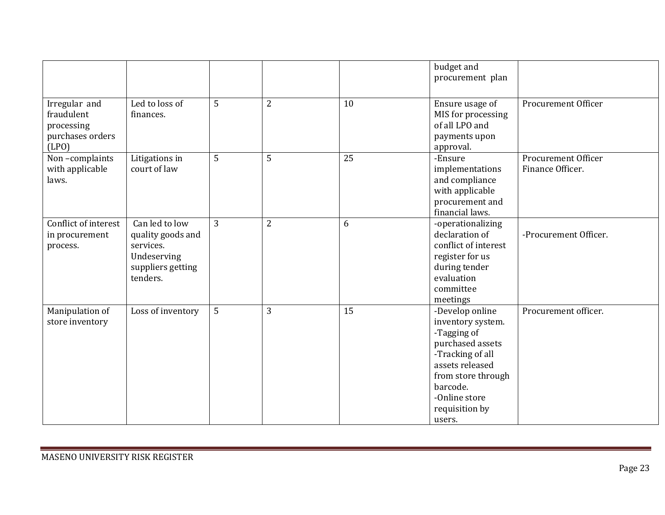|                          |                   |   |                |    | budget and<br>procurement plan    |                            |
|--------------------------|-------------------|---|----------------|----|-----------------------------------|----------------------------|
|                          |                   |   |                |    |                                   |                            |
| Irregular and            | Led to loss of    | 5 | $\overline{2}$ | 10 | Ensure usage of                   | Procurement Officer        |
| fraudulent               | finances.         |   |                |    | MIS for processing                |                            |
| processing               |                   |   |                |    | of all LPO and                    |                            |
| purchases orders         |                   |   |                |    | payments upon                     |                            |
| (LPO)                    |                   |   |                |    | approval.                         |                            |
| Non-complaints           | Litigations in    | 5 | 5              | 25 | -Ensure                           | <b>Procurement Officer</b> |
| with applicable<br>laws. | court of law      |   |                |    | implementations<br>and compliance | Finance Officer.           |
|                          |                   |   |                |    | with applicable                   |                            |
|                          |                   |   |                |    | procurement and                   |                            |
|                          |                   |   |                |    | financial laws.                   |                            |
| Conflict of interest     | Can led to low    | 3 | 2              | 6  | -operationalizing                 |                            |
| in procurement           | quality goods and |   |                |    | declaration of                    | -Procurement Officer.      |
| process.                 | services.         |   |                |    | conflict of interest              |                            |
|                          | Undeserving       |   |                |    | register for us                   |                            |
|                          | suppliers getting |   |                |    | during tender                     |                            |
|                          | tenders.          |   |                |    | evaluation                        |                            |
|                          |                   |   |                |    | committee                         |                            |
|                          |                   |   |                |    | meetings                          |                            |
| Manipulation of          | Loss of inventory | 5 | 3              | 15 | -Develop online                   | Procurement officer.       |
| store inventory          |                   |   |                |    | inventory system.                 |                            |
|                          |                   |   |                |    | -Tagging of                       |                            |
|                          |                   |   |                |    | purchased assets                  |                            |
|                          |                   |   |                |    | -Tracking of all                  |                            |
|                          |                   |   |                |    | assets released                   |                            |
|                          |                   |   |                |    | from store through<br>barcode.    |                            |
|                          |                   |   |                |    | -Online store                     |                            |
|                          |                   |   |                |    | requisition by                    |                            |
|                          |                   |   |                |    | users.                            |                            |
|                          |                   |   |                |    |                                   |                            |